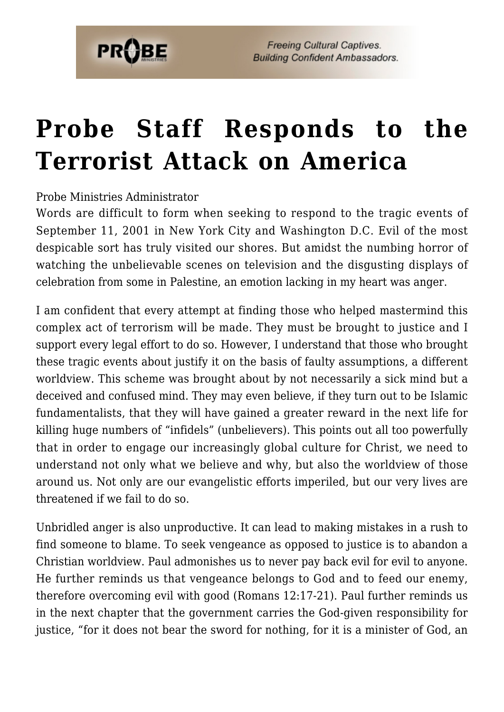

# **[Probe Staff Responds to the](https://probe.org/probe-staff-responds-to-the-terrorist-attack-on-america/) [Terrorist Attack on America](https://probe.org/probe-staff-responds-to-the-terrorist-attack-on-america/)**

Probe Ministries Administrator

Words are difficult to form when seeking to respond to the tragic events of September 11, 2001 in New York City and Washington D.C. Evil of the most despicable sort has truly visited our shores. But amidst the numbing horror of watching the unbelievable scenes on television and the disgusting displays of celebration from some in Palestine, an emotion lacking in my heart was anger.

I am confident that every attempt at finding those who helped mastermind this complex act of terrorism will be made. They must be brought to justice and I support every legal effort to do so. However, I understand that those who brought these tragic events about justify it on the basis of faulty assumptions, a different worldview. This scheme was brought about by not necessarily a sick mind but a deceived and confused mind. They may even believe, if they turn out to be Islamic fundamentalists, that they will have gained a greater reward in the next life for killing huge numbers of "infidels" (unbelievers). This points out all too powerfully that in order to engage our increasingly global culture for Christ, we need to understand not only what we believe and why, but also the worldview of those around us. Not only are our evangelistic efforts imperiled, but our very lives are threatened if we fail to do so.

Unbridled anger is also unproductive. It can lead to making mistakes in a rush to find someone to blame. To seek vengeance as opposed to justice is to abandon a Christian worldview. Paul admonishes us to never pay back evil for evil to anyone. He further reminds us that vengeance belongs to God and to feed our enemy, therefore overcoming evil with good (Romans 12:17-21). Paul further reminds us in the next chapter that the government carries the God-given responsibility for justice, "for it does not bear the sword for nothing, for it is a minister of God, an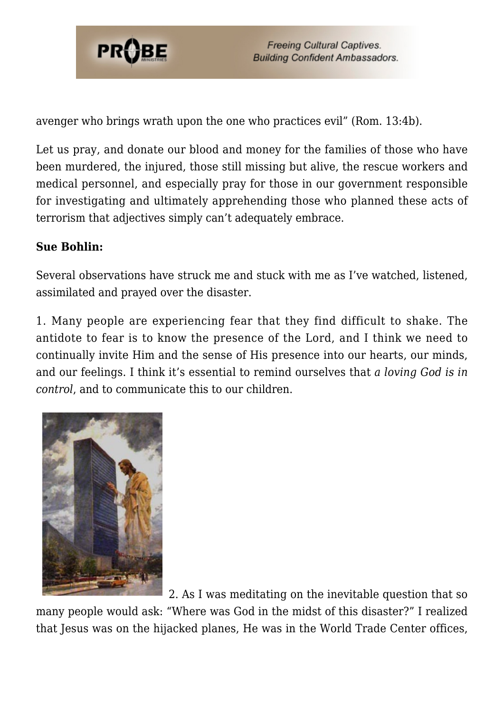

avenger who brings wrath upon the one who practices evil" (Rom. 13:4b).

Let us pray, and donate our blood and money for the families of those who have been murdered, the injured, those still missing but alive, the rescue workers and medical personnel, and especially pray for those in our government responsible for investigating and ultimately apprehending those who planned these acts of terrorism that adjectives simply can't adequately embrace.

## **Sue Bohlin:**

Several observations have struck me and stuck with me as I've watched, listened, assimilated and prayed over the disaster.

1. Many people are experiencing fear that they find difficult to shake. The antidote to fear is to know the presence of the Lord, and I think we need to continually invite Him and the sense of His presence into our hearts, our minds, and our feelings. I think it's essential to remind ourselves that *a loving God is in control*, and to communicate this to our children.



2. As I was meditating on the inevitable question that so many people would ask: "Where was God in the midst of this disaster?" I realized that Jesus was on the hijacked planes, He was in the World Trade Center offices,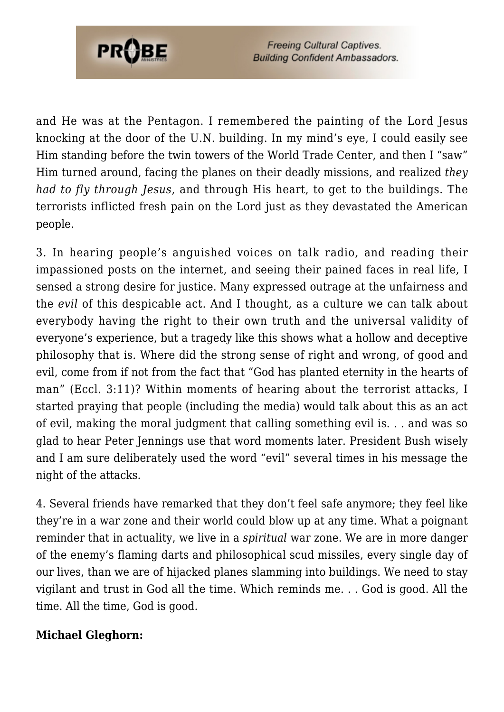

and He was at the Pentagon. I remembered the painting of the Lord Jesus knocking at the door of the U.N. building. In my mind's eye, I could easily see Him standing before the twin towers of the World Trade Center, and then I "saw" Him turned around, facing the planes on their deadly missions, and realized *they had to fly through Jesus*, and through His heart, to get to the buildings. The terrorists inflicted fresh pain on the Lord just as they devastated the American people.

3. In hearing people's anguished voices on talk radio, and reading their impassioned posts on the internet, and seeing their pained faces in real life, I sensed a strong desire for justice. Many expressed outrage at the unfairness and the *evil* of this despicable act. And I thought, as a culture we can talk about everybody having the right to their own truth and the universal validity of everyone's experience, but a tragedy like this shows what a hollow and deceptive philosophy that is. Where did the strong sense of right and wrong, of good and evil, come from if not from the fact that "God has planted eternity in the hearts of man" (Eccl. 3:11)? Within moments of hearing about the terrorist attacks, I started praying that people (including the media) would talk about this as an act of evil, making the moral judgment that calling something evil is. . . and was so glad to hear Peter Jennings use that word moments later. President Bush wisely and I am sure deliberately used the word "evil" several times in his message the night of the attacks.

4. Several friends have remarked that they don't feel safe anymore; they feel like they're in a war zone and their world could blow up at any time. What a poignant reminder that in actuality, we live in a *spiritual* war zone. We are in more danger of the enemy's flaming darts and philosophical scud missiles, every single day of our lives, than we are of hijacked planes slamming into buildings. We need to stay vigilant and trust in God all the time. Which reminds me. . . God is good. All the time. All the time, God is good.

## **Michael Gleghorn:**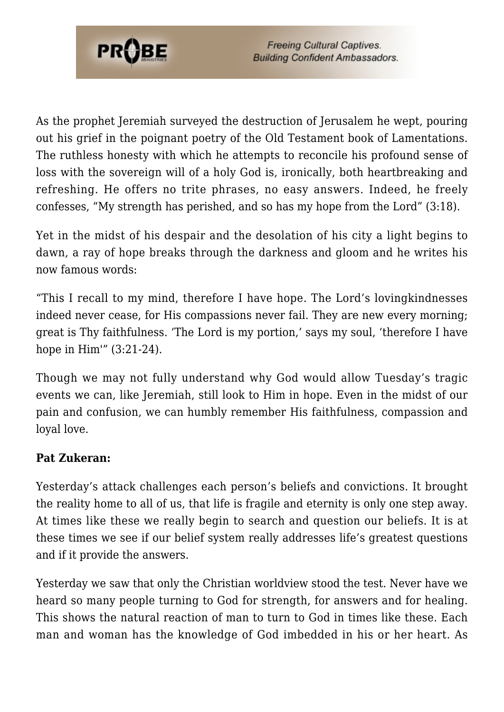

As the prophet Jeremiah surveyed the destruction of Jerusalem he wept, pouring out his grief in the poignant poetry of the Old Testament book of Lamentations. The ruthless honesty with which he attempts to reconcile his profound sense of loss with the sovereign will of a holy God is, ironically, both heartbreaking and refreshing. He offers no trite phrases, no easy answers. Indeed, he freely confesses, "My strength has perished, and so has my hope from the Lord" (3:18).

Yet in the midst of his despair and the desolation of his city a light begins to dawn, a ray of hope breaks through the darkness and gloom and he writes his now famous words:

"This I recall to my mind, therefore I have hope. The Lord's lovingkindnesses indeed never cease, for His compassions never fail. They are new every morning; great is Thy faithfulness. 'The Lord is my portion,' says my soul, 'therefore I have hope in Him<sup>"</sup> (3:21-24).

Though we may not fully understand why God would allow Tuesday's tragic events we can, like Jeremiah, still look to Him in hope. Even in the midst of our pain and confusion, we can humbly remember His faithfulness, compassion and loyal love.

## **Pat Zukeran:**

Yesterday's attack challenges each person's beliefs and convictions. It brought the reality home to all of us, that life is fragile and eternity is only one step away. At times like these we really begin to search and question our beliefs. It is at these times we see if our belief system really addresses life's greatest questions and if it provide the answers.

Yesterday we saw that only the Christian worldview stood the test. Never have we heard so many people turning to God for strength, for answers and for healing. This shows the natural reaction of man to turn to God in times like these. Each man and woman has the knowledge of God imbedded in his or her heart. As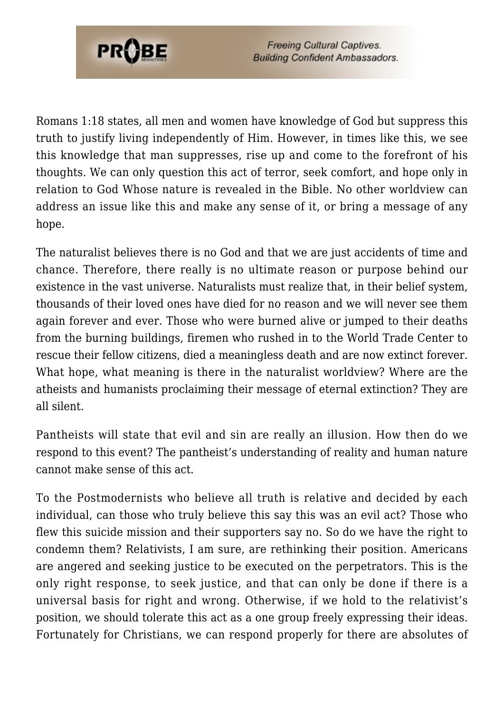

Romans 1:18 states, all men and women have knowledge of God but suppress this truth to justify living independently of Him. However, in times like this, we see this knowledge that man suppresses, rise up and come to the forefront of his thoughts. We can only question this act of terror, seek comfort, and hope only in relation to God Whose nature is revealed in the Bible. No other worldview can address an issue like this and make any sense of it, or bring a message of any hope.

The naturalist believes there is no God and that we are just accidents of time and chance. Therefore, there really is no ultimate reason or purpose behind our existence in the vast universe. Naturalists must realize that, in their belief system, thousands of their loved ones have died for no reason and we will never see them again forever and ever. Those who were burned alive or jumped to their deaths from the burning buildings, firemen who rushed in to the World Trade Center to rescue their fellow citizens, died a meaningless death and are now extinct forever. What hope, what meaning is there in the naturalist worldview? Where are the atheists and humanists proclaiming their message of eternal extinction? They are all silent.

Pantheists will state that evil and sin are really an illusion. How then do we respond to this event? The pantheist's understanding of reality and human nature cannot make sense of this act.

To the Postmodernists who believe all truth is relative and decided by each individual, can those who truly believe this say this was an evil act? Those who flew this suicide mission and their supporters say no. So do we have the right to condemn them? Relativists, I am sure, are rethinking their position. Americans are angered and seeking justice to be executed on the perpetrators. This is the only right response, to seek justice, and that can only be done if there is a universal basis for right and wrong. Otherwise, if we hold to the relativist's position, we should tolerate this act as a one group freely expressing their ideas. Fortunately for Christians, we can respond properly for there are absolutes of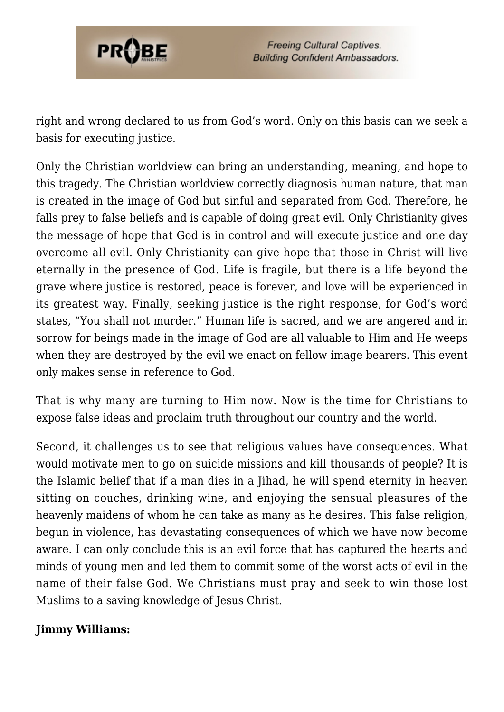

right and wrong declared to us from God's word. Only on this basis can we seek a basis for executing justice.

Only the Christian worldview can bring an understanding, meaning, and hope to this tragedy. The Christian worldview correctly diagnosis human nature, that man is created in the image of God but sinful and separated from God. Therefore, he falls prey to false beliefs and is capable of doing great evil. Only Christianity gives the message of hope that God is in control and will execute justice and one day overcome all evil. Only Christianity can give hope that those in Christ will live eternally in the presence of God. Life is fragile, but there is a life beyond the grave where justice is restored, peace is forever, and love will be experienced in its greatest way. Finally, seeking justice is the right response, for God's word states, "You shall not murder." Human life is sacred, and we are angered and in sorrow for beings made in the image of God are all valuable to Him and He weeps when they are destroyed by the evil we enact on fellow image bearers. This event only makes sense in reference to God.

That is why many are turning to Him now. Now is the time for Christians to expose false ideas and proclaim truth throughout our country and the world.

Second, it challenges us to see that religious values have consequences. What would motivate men to go on suicide missions and kill thousands of people? It is the Islamic belief that if a man dies in a Jihad, he will spend eternity in heaven sitting on couches, drinking wine, and enjoying the sensual pleasures of the heavenly maidens of whom he can take as many as he desires. This false religion, begun in violence, has devastating consequences of which we have now become aware. I can only conclude this is an evil force that has captured the hearts and minds of young men and led them to commit some of the worst acts of evil in the name of their false God. We Christians must pray and seek to win those lost Muslims to a saving knowledge of Jesus Christ.

### **Jimmy Williams:**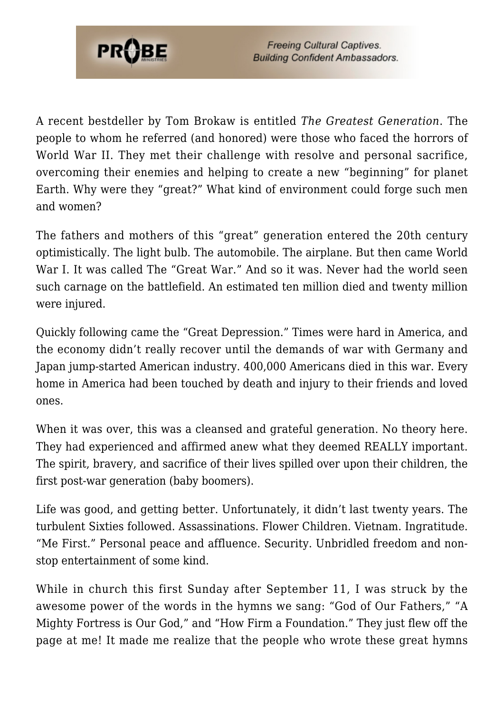

A recent bestdeller by Tom Brokaw is entitled *The Greatest Generation*. The people to whom he referred (and honored) were those who faced the horrors of World War II. They met their challenge with resolve and personal sacrifice, overcoming their enemies and helping to create a new "beginning" for planet Earth. Why were they "great?" What kind of environment could forge such men and women?

The fathers and mothers of this "great" generation entered the 20th century optimistically. The light bulb. The automobile. The airplane. But then came World War I. It was called The "Great War." And so it was. Never had the world seen such carnage on the battlefield. An estimated ten million died and twenty million were injured.

Quickly following came the "Great Depression." Times were hard in America, and the economy didn't really recover until the demands of war with Germany and Japan jump-started American industry. 400,000 Americans died in this war. Every home in America had been touched by death and injury to their friends and loved ones.

When it was over, this was a cleansed and grateful generation. No theory here. They had experienced and affirmed anew what they deemed REALLY important. The spirit, bravery, and sacrifice of their lives spilled over upon their children, the first post-war generation (baby boomers).

Life was good, and getting better. Unfortunately, it didn't last twenty years. The turbulent Sixties followed. Assassinations. Flower Children. Vietnam. Ingratitude. "Me First." Personal peace and affluence. Security. Unbridled freedom and nonstop entertainment of some kind.

While in church this first Sunday after September 11, I was struck by the awesome power of the words in the hymns we sang: "God of Our Fathers," "A Mighty Fortress is Our God," and "How Firm a Foundation." They just flew off the page at me! It made me realize that the people who wrote these great hymns